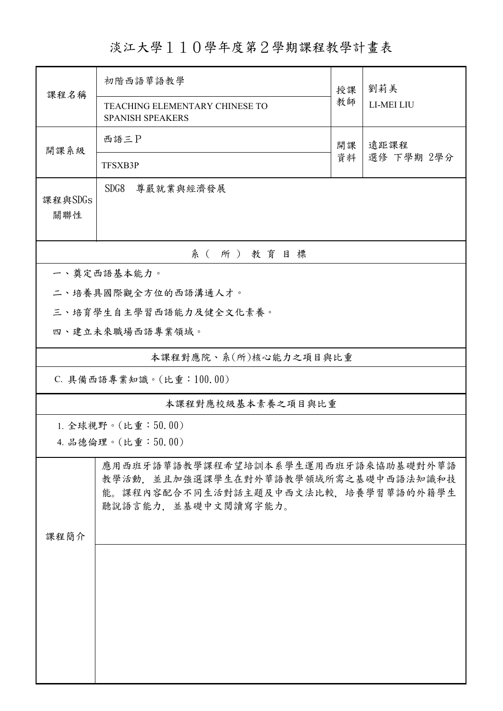## 淡江大學110學年度第2學期課程教學計畫表

| 課程名稱              | 初階西語華語教學                                                                                                                                 | 授課         | 劉莉美        |  |  |  |
|-------------------|------------------------------------------------------------------------------------------------------------------------------------------|------------|------------|--|--|--|
|                   | TEACHING ELEMENTARY CHINESE TO<br>SPANISH SPEAKERS                                                                                       | 教師         | LI-MEI LIU |  |  |  |
| 開課系級              | 西語三P                                                                                                                                     | 遠距課程<br>開課 |            |  |  |  |
|                   | TFSXB3P                                                                                                                                  | 資料         | 選修 下學期 2學分 |  |  |  |
| 課程與SDGs           | SDG8<br>尊嚴就業與經濟發展                                                                                                                        |            |            |  |  |  |
| 關聯性               |                                                                                                                                          |            |            |  |  |  |
|                   | 系(所)教育目標                                                                                                                                 |            |            |  |  |  |
|                   | 一、奠定西語基本能力。                                                                                                                              |            |            |  |  |  |
|                   | 二、培養具國際觀全方位的西語溝通人才。                                                                                                                      |            |            |  |  |  |
|                   | 三、培育學生自主學習西語能力及健全文化素養。                                                                                                                   |            |            |  |  |  |
|                   | 四、建立未來職場西語專業領域。                                                                                                                          |            |            |  |  |  |
|                   | 本課程對應院、系(所)核心能力之項目與比重                                                                                                                    |            |            |  |  |  |
|                   | C. 具備西語專業知識。(比重:100.00)                                                                                                                  |            |            |  |  |  |
| 本課程對應校級基本素養之項目與比重 |                                                                                                                                          |            |            |  |  |  |
|                   | 1. 全球視野。(比重:50.00)                                                                                                                       |            |            |  |  |  |
|                   | 4. 品德倫理。(比重:50.00)                                                                                                                       |            |            |  |  |  |
|                   | 應用西班牙語華語教學課程希望培訓本系學生運用西班牙語來協助基礎對外華語<br>教學活動、並且加強選課學生在對外華語教學領域所需之基礎中西語法知識和技<br>能。課程內容配合不同生活對話主題及中西文法比較,培養學習華語的外籍學生<br>聽說語言能力,並基礎中文閱讀寫字能力。 |            |            |  |  |  |
| 課程簡介              |                                                                                                                                          |            |            |  |  |  |
|                   |                                                                                                                                          |            |            |  |  |  |
|                   |                                                                                                                                          |            |            |  |  |  |
|                   |                                                                                                                                          |            |            |  |  |  |
|                   |                                                                                                                                          |            |            |  |  |  |
|                   |                                                                                                                                          |            |            |  |  |  |
|                   |                                                                                                                                          |            |            |  |  |  |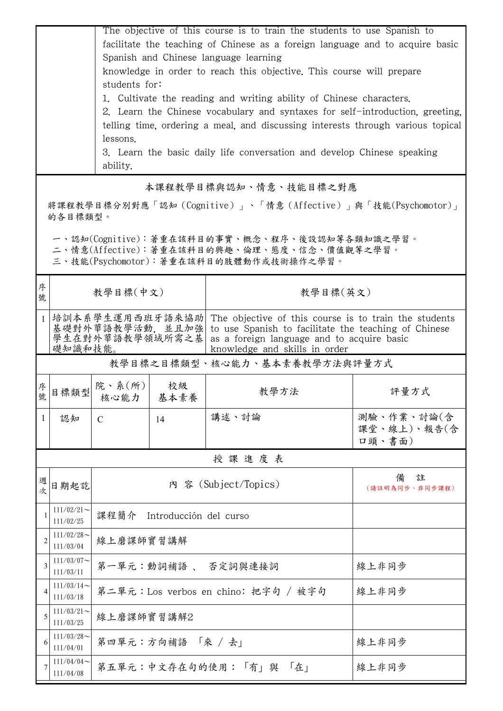|                | The objective of this course is to train the students to use Spanish to<br>facilitate the teaching of Chinese as a foreign language and to acquire basic |                                                                                                                                                                                                                                                                |    |                                                                                 |                                     |  |  |
|----------------|----------------------------------------------------------------------------------------------------------------------------------------------------------|----------------------------------------------------------------------------------------------------------------------------------------------------------------------------------------------------------------------------------------------------------------|----|---------------------------------------------------------------------------------|-------------------------------------|--|--|
|                |                                                                                                                                                          | Spanish and Chinese language learning                                                                                                                                                                                                                          |    |                                                                                 |                                     |  |  |
|                |                                                                                                                                                          | knowledge in order to reach this objective. This course will prepare                                                                                                                                                                                           |    |                                                                                 |                                     |  |  |
|                | students for:                                                                                                                                            |                                                                                                                                                                                                                                                                |    |                                                                                 |                                     |  |  |
|                | 1. Cultivate the reading and writing ability of Chinese characters.<br>2. Learn the Chinese vocabulary and syntaxes for self-introduction, greeting,     |                                                                                                                                                                                                                                                                |    |                                                                                 |                                     |  |  |
|                |                                                                                                                                                          |                                                                                                                                                                                                                                                                |    | telling time, ordering a meal, and discussing interests through various topical |                                     |  |  |
|                |                                                                                                                                                          | lessons.                                                                                                                                                                                                                                                       |    |                                                                                 |                                     |  |  |
|                | 3. Learn the basic daily life conversation and develop Chinese speaking<br>ability.                                                                      |                                                                                                                                                                                                                                                                |    |                                                                                 |                                     |  |  |
|                | 本課程教學目標與認知、情意、技能目標之對應                                                                                                                                    |                                                                                                                                                                                                                                                                |    |                                                                                 |                                     |  |  |
|                | 將課程教學目標分別對應「認知(Cognitive)」、「情意(Affective)」與「技能(Psychomotor)」<br>的各目標類型。                                                                                  |                                                                                                                                                                                                                                                                |    |                                                                                 |                                     |  |  |
|                | 一、認知(Cognitive):著重在該科目的事實、概念、程序、後設認知等各類知識之學習。<br>二、情意(Affective):著重在該科目的興趣、倫理、態度、信念、價值觀等之學習。<br>三、技能(Psychomotor):著重在該科目的肢體動作或技術操作之學習。                   |                                                                                                                                                                                                                                                                |    |                                                                                 |                                     |  |  |
| 序<br>號         |                                                                                                                                                          | 教學目標(中文)                                                                                                                                                                                                                                                       |    | 教學目標(英文)                                                                        |                                     |  |  |
| $\mathbf{1}$   |                                                                                                                                                          | 培訓本系學生運用西班牙語來協助 The objective of this course is to train the students<br>基礎對外華語教學活動, 並且加強<br>to use Spanish to facilitate the teaching of Chinese<br>學生在對外華語教學領域所需之基<br>as a foreign language and to acquire basic<br>礎知識和技能。<br>knowledge and skills in order |    |                                                                                 |                                     |  |  |
|                |                                                                                                                                                          |                                                                                                                                                                                                                                                                |    | 教學目標之目標類型、核心能力、基本素養教學方法與評量方式                                                    |                                     |  |  |
| 序號             | 目標類型                                                                                                                                                     | 院、系(所) <br>核心能力   基本素養                                                                                                                                                                                                                                         | 校級 | 教學方法                                                                            | 評量方式                                |  |  |
| 1              | 認知                                                                                                                                                       | $\mathcal{C}$                                                                                                                                                                                                                                                  | 14 | 講述、討論                                                                           | 測驗、作業、討論(含<br>課堂、線上)、報告(含<br>口頭、書面) |  |  |
|                |                                                                                                                                                          |                                                                                                                                                                                                                                                                |    | 授課進度表                                                                           |                                     |  |  |
| 週<br>欤         | 日期起訖                                                                                                                                                     | 內 容 (Subject/Topics)                                                                                                                                                                                                                                           |    | 備<br>註<br>(請註明為同步、非同步課程)                                                        |                                     |  |  |
|                | $111/02/21$ ~<br>111/02/25                                                                                                                               | 課程簡介<br>Introducción del curso                                                                                                                                                                                                                                 |    |                                                                                 |                                     |  |  |
| $\mathfrak{D}$ | $111/02/28$ ~<br>111/03/04                                                                                                                               | 線上磨課師實習講解                                                                                                                                                                                                                                                      |    |                                                                                 |                                     |  |  |
| 3              | $111/03/07$ ~<br>111/03/11                                                                                                                               | 第一單元:動詞補語、 否定詞與連接詞<br>線上非同步                                                                                                                                                                                                                                    |    |                                                                                 |                                     |  |  |
|                | $111/03/14$ ~<br>111/03/18                                                                                                                               |                                                                                                                                                                                                                                                                |    | 第二單元:Los verbos en chino: 把字句 / 被字句                                             | 線上非同步                               |  |  |
| 5              | $111/03/21$ ~<br>111/03/25                                                                                                                               | 線上磨課師實習講解2                                                                                                                                                                                                                                                     |    |                                                                                 |                                     |  |  |
|                | $111/03/28$ ~<br>111/04/01                                                                                                                               | 第四單元:方向補語「來 /去」<br>線上非同步                                                                                                                                                                                                                                       |    |                                                                                 |                                     |  |  |
|                | 111/04/04<br>111/04/08                                                                                                                                   | 第五單元:中文存在句的使用:「有」與 「在」<br>線上非同步                                                                                                                                                                                                                                |    |                                                                                 |                                     |  |  |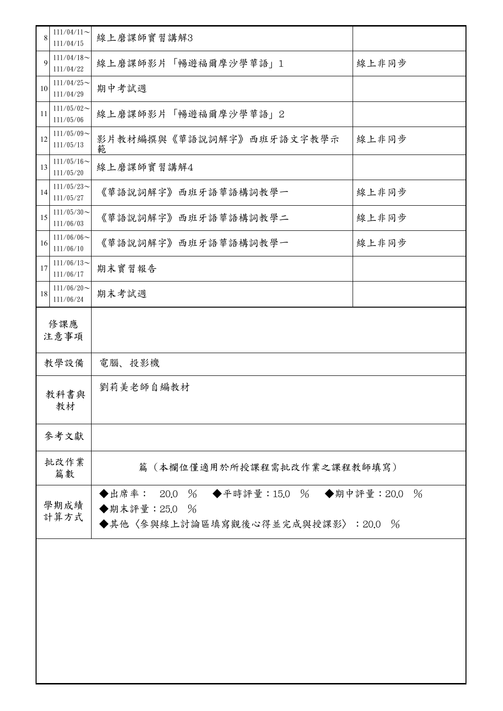| 8            | $111/04/11$ ~              | 線上磨課師實習講解3                                                                                                |       |  |  |
|--------------|----------------------------|-----------------------------------------------------------------------------------------------------------|-------|--|--|
|              | 111/04/15<br>$111/04/18$ ~ |                                                                                                           |       |  |  |
| 9            | 111/04/22                  | 線上磨課師影片「暢遊福爾摩沙學華語」1                                                                                       | 線上非同步 |  |  |
| 10           | $111/04/25$ ~<br>111/04/29 | 期中考試週                                                                                                     |       |  |  |
| 11           | $111/05/02$ ~<br>111/05/06 | 線上磨課師影片「暢遊福爾摩沙學華語」2                                                                                       |       |  |  |
| 12           | $111/05/09$ ~<br>111/05/13 | 影片教材編撰與《華語說詞解字》西班牙語文字教學示<br>範                                                                             | 線上非同步 |  |  |
| 13           | $111/05/16$ ~<br>111/05/20 | 線上磨課師實習講解4                                                                                                |       |  |  |
| 14           | $111/05/23$ ~<br>111/05/27 | 《華語說詞解字》西班牙語華語構詞教學一                                                                                       | 線上非同步 |  |  |
| 15           | $111/05/30$ ~<br>111/06/03 | 《華語說詞解字》西班牙語華語構詞教學二                                                                                       | 線上非同步 |  |  |
| 16           | $111/06/06$ ~<br>111/06/10 | 《華語說詞解字》西班牙語華語構詞教學一                                                                                       | 線上非同步 |  |  |
| 17           | $111/06/13$ ~<br>111/06/17 | 期末實習報告                                                                                                    |       |  |  |
| 18           | $111/06/20$ ~<br>111/06/24 | 期末考試週                                                                                                     |       |  |  |
| 修課應<br>注意事項  |                            |                                                                                                           |       |  |  |
|              | 教學設備                       | 電腦、投影機                                                                                                    |       |  |  |
| 教科書與<br>教材   |                            | 劉莉美老師自編教材                                                                                                 |       |  |  |
|              | 參考文獻                       |                                                                                                           |       |  |  |
| 批改作業<br>篇數   |                            | 篇(本欄位僅適用於所授課程需批改作業之課程教師填寫)                                                                                |       |  |  |
| 學期成績<br>計算方式 |                            | ◆出席率: 20.0 % ◆平時評量:15.0 % ◆期中評量:20.0<br>$\frac{0}{6}$<br>◆期末評量:25.0 %<br>◆其他〈參與線上討論區填寫觀後心得並完成與授課影〉:20.0 % |       |  |  |
|              |                            |                                                                                                           |       |  |  |
|              |                            |                                                                                                           |       |  |  |